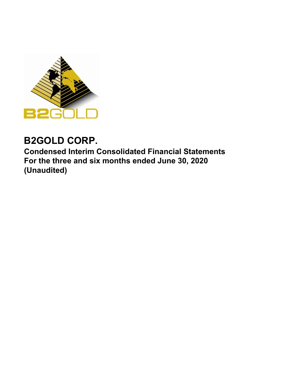

# **B2GOLD CORP.**

**Condensed Interim Consolidated Financial Statements For the three and six months ended June 30, 2020 (Unaudited)**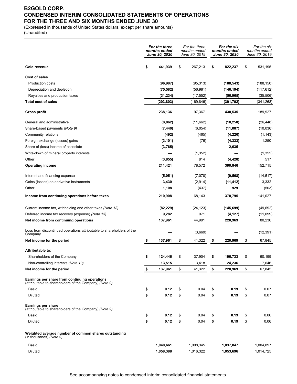# **B2GOLD CORP. CONDENSED INTERIM CONSOLIDATED STATEMENTS OF OPERATIONS FOR THE THREE AND SIX MONTHS ENDED JUNE 30**

(Expressed in thousands of United States dollars, except per share amounts) (Unaudited)

|                                                                                                         | For the three<br>months ended<br>June 30, 2020 | For the three<br>months ended<br>June 30, 2019 | For the six<br>months ended<br><b>June 30, 2020</b> | For the six<br>months ended<br>June 30, 2019 |
|---------------------------------------------------------------------------------------------------------|------------------------------------------------|------------------------------------------------|-----------------------------------------------------|----------------------------------------------|
| <b>Gold revenue</b>                                                                                     | \$<br>441,939                                  | \$<br>267,213                                  | \$<br>822,237                                       | \$<br>531,195                                |
| <b>Cost of sales</b>                                                                                    |                                                |                                                |                                                     |                                              |
| <b>Production costs</b>                                                                                 | (96, 987)                                      | (95, 313)                                      | (188, 543)                                          | (188, 150)                                   |
| Depreciation and depletion                                                                              | (75, 582)                                      | (56, 981)                                      | (146, 194)                                          | (117, 612)                                   |
| Royalties and production taxes                                                                          | (31, 234)                                      | (17, 552)                                      | (56, 965)                                           | (35,506)                                     |
| <b>Total cost of sales</b>                                                                              | (203, 803)                                     | (169, 846)                                     | (391,702)                                           | (341, 268)                                   |
| <b>Gross profit</b>                                                                                     | 238,136                                        | 97,367                                         | 430,535                                             | 189,927                                      |
| General and administrative                                                                              | (8,062)                                        | (11,662)                                       | (18, 250)                                           | (26, 448)                                    |
| Share-based payments (Note 9)                                                                           | (7, 440)                                       | (6,054)                                        | (11,087)                                            | (10,036)                                     |
| Community relations                                                                                     | (492)                                          | (465)                                          | (4,226)                                             | (1, 143)                                     |
| Foreign exchange (losses) gains                                                                         | (3, 101)                                       | (76)                                           | (4, 333)                                            | 1,250                                        |
| Share of (loss) income of associate                                                                     | (3, 765)                                       |                                                | 2,635                                               |                                              |
| Write-down of mineral property interests                                                                |                                                | (1, 352)                                       |                                                     | (1, 352)                                     |
| Other                                                                                                   | (3, 855)                                       | 814                                            | (4, 428)                                            | 517                                          |
| <b>Operating income</b>                                                                                 | 211,421                                        | 78,572                                         | 390,846                                             | 152,715                                      |
| Interest and financing expense                                                                          | (5,051)                                        | (7,078)                                        | (9, 568)                                            | (14, 517)                                    |
| Gains (losses) on derivative instruments                                                                | 3,430                                          | (2,914)                                        | (11, 412)                                           | 3,332                                        |
| Other                                                                                                   | 1,108                                          | (437)                                          | 929                                                 | (503)                                        |
| Income from continuing operations before taxes                                                          | 210,908                                        | 68,143                                         | 370,795                                             | 141,027                                      |
| Current income tax, withholding and other taxes (Note 13)                                               | (82, 229)                                      | (24, 123)                                      | (145, 699)                                          | (49,692)                                     |
| Deferred income tax recovery (expense) (Note 13)                                                        | 9,282                                          | 971                                            | (4, 127)                                            | (11,099)                                     |
| Net income from continuing operations                                                                   | 137,961                                        | 44,991                                         | 220,969                                             | 80,236                                       |
| Loss from discontinued operations attributable to shareholders of the<br>Company                        |                                                | (3,669)                                        |                                                     | (12, 391)                                    |
| Net income for the period                                                                               | \$<br>137,961                                  | \$<br>41,322                                   | \$<br>220,969                                       | \$<br>67,845                                 |
| <b>Attributable to:</b>                                                                                 |                                                |                                                |                                                     |                                              |
| Shareholders of the Company                                                                             | \$<br>124,446                                  | \$<br>37,904                                   | \$<br>196,733                                       | \$<br>60,199                                 |
| Non-controlling interests (Note 10)                                                                     | 13,515                                         | 3,418                                          | 24,236                                              | 7,646                                        |
| Net income for the period                                                                               | \$<br>137,961                                  | \$<br>41,322                                   | \$<br>220,969                                       | \$<br>67,845                                 |
| Earnings per share from continuing operations<br>(attributable to shareholders of the Company) (Note 9) |                                                |                                                |                                                     |                                              |
| Basic                                                                                                   | \$<br>0.12                                     | \$<br>0.04                                     | \$<br>0.19                                          | \$<br>0.07                                   |
| Diluted                                                                                                 | \$<br>0.12                                     | \$<br>0.04                                     | \$<br>0.19                                          | \$<br>0.07                                   |
| <b>Earnings per share</b><br>(attributable to shareholders of the Company) (Note 9)                     |                                                |                                                |                                                     |                                              |
| Basic                                                                                                   | \$<br>0.12                                     | \$<br>0.04                                     | \$<br>0.19                                          | \$<br>0.06                                   |
| Diluted                                                                                                 | \$<br>0.12                                     | \$<br>0.04                                     | \$<br>0.19                                          | \$<br>0.06                                   |
| Weighted average number of common shares outstanding<br>(in thousands) (Note 9)                         |                                                |                                                |                                                     |                                              |
| Basic                                                                                                   | 1,040,661                                      | 1,008,345                                      | 1,037,847                                           | 1,004,897                                    |
| Diluted                                                                                                 | 1,058,388                                      | 1,016,322                                      | 1,053,696                                           | 1,014,725                                    |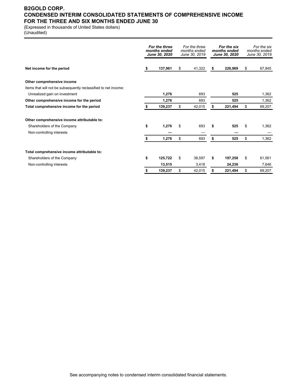# **B2GOLD CORP. CONDENSED INTERIM CONSOLIDATED STATEMENTS OF COMPREHENSIVE INCOME FOR THE THREE AND SIX MONTHS ENDED JUNE 30**

(Expressed in thousands of United States dollars)

(Unaudited)

|                                                                 | For the three<br>months ended<br><b>June 30, 2020</b> |         | For the three<br>months ended<br>June 30, 2019 |        | For the six<br>months ended<br>June 30, 2020 |         | For the six<br>months ended<br>June 30, 2019 |        |
|-----------------------------------------------------------------|-------------------------------------------------------|---------|------------------------------------------------|--------|----------------------------------------------|---------|----------------------------------------------|--------|
| Net income for the period                                       | S                                                     | 137,961 | \$                                             | 41,322 | \$                                           | 220.969 | \$                                           | 67,845 |
| Other comprehensive income                                      |                                                       |         |                                                |        |                                              |         |                                              |        |
| Items that will not be subsequently reclassified to net income: |                                                       |         |                                                |        |                                              |         |                                              |        |
| Unrealized gain on investment                                   |                                                       | 1,276   |                                                | 693    |                                              | 525     |                                              | 1,362  |
| Other comprehensive income for the period                       |                                                       | 1,276   |                                                | 693    |                                              | 525     |                                              | 1,362  |
| Total comprehensive income for the period                       |                                                       | 139,237 | \$                                             | 42,015 | \$                                           | 221,494 | \$                                           | 69,207 |
| Other comprehensive income attributable to:                     |                                                       |         |                                                |        |                                              |         |                                              |        |
| Shareholders of the Company                                     | \$                                                    | 1,276   | \$                                             | 693    | \$                                           | 525     | \$                                           | 1,362  |
| Non-controlling interests                                       |                                                       |         |                                                |        |                                              |         |                                              |        |
|                                                                 | S                                                     | 1,276   | \$                                             | 693    | \$                                           | 525     | \$                                           | 1,362  |
| Total comprehensive income attributable to:                     |                                                       |         |                                                |        |                                              |         |                                              |        |
| Shareholders of the Company                                     | \$                                                    | 125,722 | \$                                             | 38,597 | \$                                           | 197,258 | \$                                           | 61,561 |
| Non-controlling interests                                       |                                                       | 13,515  |                                                | 3,418  |                                              | 24,236  |                                              | 7,646  |
|                                                                 | \$                                                    | 139,237 | \$                                             | 42,015 | \$                                           | 221,494 | \$                                           | 69,207 |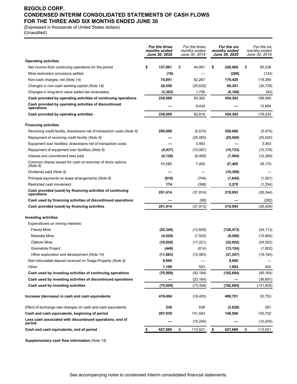# **B2GOLD CORP. CONDENSED INTERIM CONSOLIDATED STATEMENTS OF CASH FLOWS FOR THE THREE AND SIX MONTHS ENDED JUNE 30**

(Expressed in thousands of United States dollars)

(Unaudited)

|                                                                          | For the three<br>For the three<br>months ended<br>months ended<br>June 30, 2019<br>June 30, 2020 |           |    | For the six<br>months ended<br><b>June 30, 2020</b> |    | For the six<br>months ended<br>June 30, 2019 |    |            |
|--------------------------------------------------------------------------|--------------------------------------------------------------------------------------------------|-----------|----|-----------------------------------------------------|----|----------------------------------------------|----|------------|
| <b>Operating activities</b>                                              |                                                                                                  |           |    |                                                     |    |                                              |    |            |
| Net income from continuing operations for the period                     | \$                                                                                               | 137,961   | \$ | 44,991                                              | \$ | 220,969                                      | \$ | 80,236     |
| Mine restoration provisions settled                                      |                                                                                                  | (19)      |    |                                                     |    | (208)                                        |    | (124)      |
| Non-cash charges, net (Note 14)                                          |                                                                                                  | 74,891    |    | 62,267                                              |    | 179,420                                      |    | 119,290    |
| Changes in non-cash working capital (Note 14)                            |                                                                                                  | 28,558    |    | (25, 632)                                           |    | 60,301                                       |    | (30, 739)  |
| Changes in long-term value added tax receivables                         |                                                                                                  | (3, 302)  |    | 1,756                                               |    | (6, 180)                                     |    | (83)       |
| Cash provided by operating activities of continuing operations           |                                                                                                  | 238,089   |    | 83,382                                              |    | 454,302                                      |    | 168,580    |
| Cash provided by operating activities of discontinued<br>operations      |                                                                                                  |           |    | 9,434                                               |    |                                              |    | 10,654     |
| Cash provided by operating activities                                    |                                                                                                  | 238,089   |    | 92,816                                              |    | 454,302                                      |    | 179,234    |
| <b>Financing activities</b>                                              |                                                                                                  |           |    |                                                     |    |                                              |    |            |
| Revolving credit facility, drawdowns net of transaction costs (Note 8)   |                                                                                                  | 250,000   |    | (5, 574)                                            |    | 250,000                                      |    | (5, 574)   |
| Repayment of revolving credit facility (Note 8)                          |                                                                                                  |           |    | (25,000)                                            |    | (25,000)                                     |    | (25,000)   |
| Equipment loan facilities, drawdowns net of transaction costs            |                                                                                                  |           |    | 3,463                                               |    |                                              |    | 3,463      |
| Repayment of equipment loan facilities (Note 8)                          |                                                                                                  | (4,937)   |    | (10,067)                                            |    | (15, 733)                                    |    | (12, 379)  |
| Interest and commitment fees paid                                        |                                                                                                  | (4, 128)  |    | (6, 499)                                            |    | (7,904)                                      |    | (12, 269)  |
| Common shares issued for cash on exercise of stock options<br>(Note 9)   |                                                                                                  | 11,121    |    | 7,005                                               |    | 27,465                                       |    | 28,170     |
| Dividends paid (Note 9)                                                  |                                                                                                  |           |    |                                                     |    | (10, 368)                                    |    |            |
| Principal payments on lease arrangements (Note 8)                        |                                                                                                  | (816)     |    | (744)                                               |    | (1,645)                                      |    | (1,501)    |
| Restricted cash movement                                                 |                                                                                                  | 174       |    | (398)                                               |    | 2,278                                        |    | (1,254)    |
| Cash provided (used) by financing activities of continuing<br>operations |                                                                                                  | 251,414   |    | (37, 814)                                           |    | 219,093                                      |    | (26, 344)  |
| Cash used by financing activities of discontinued operations             |                                                                                                  |           |    | (99)                                                |    |                                              |    | (282)      |
| Cash provided (used) by financing activities                             |                                                                                                  | 251,414   |    | (37, 913)                                           |    | 219,093                                      |    | (26, 626)  |
| <b>Investing activities</b>                                              |                                                                                                  |           |    |                                                     |    |                                              |    |            |
| Expenditures on mining interests:                                        |                                                                                                  |           |    |                                                     |    |                                              |    |            |
| Fekola Mine                                                              |                                                                                                  | (52, 340) |    | (12, 829)                                           |    | (126, 473)                                   |    | (34, 113)  |
| Masbate Mine                                                             |                                                                                                  | (4, 529)  |    | (7, 520)                                            |    | (9, 290)                                     |    | (15,964)   |
| Otjikoto Mine                                                            |                                                                                                  | (10, 920) |    | (17, 221)                                           |    | (22, 652)                                    |    | (24, 503)  |
| <b>Gramalote Project</b>                                                 |                                                                                                  | (446)     |    | (614)                                               |    | (13, 124)                                    |    | (1,802)    |
| Other exploration and development (Note 14)                              |                                                                                                  | (11, 883) |    | (12, 563)                                           |    | (21, 247)                                    |    | (19, 184)  |
| Non-refundable deposit received on Toega Property (Note 6)               |                                                                                                  | 9,000     |    |                                                     |    | 9,000                                        |    |            |
| Other                                                                    |                                                                                                  | 1,109     |    | 553                                                 |    | 1,092                                        |    | 402        |
| Cash used by investing activities of continuing operations               |                                                                                                  | (70,009)  |    | (50, 194)                                           |    | (182, 694)                                   |    | (95, 164)  |
| Cash used by investing activities of discontinued operations             |                                                                                                  |           |    | (23, 164)                                           |    |                                              |    | (36, 691)  |
| Cash used by investing activities                                        |                                                                                                  | (70,009)  |    | (73,358)                                            |    | (182, 694)                                   |    | (131, 855) |
| Increase (decrease) in cash and cash equivalents                         |                                                                                                  | 419,494   |    | (18, 455)                                           |    | 490,701                                      |    | 20,753     |
| Effect of exchange rate changes on cash and cash equivalents             |                                                                                                  | 236       |    | 638                                                 |    | (3,628)                                      |    | 261        |
| Cash and cash equivalents, beginning of period                           |                                                                                                  | 207,939   |    | 141,583                                             |    | 140,596                                      |    | 102,752    |
| Less cash associated with discontinued operations, end of<br>period      |                                                                                                  |           |    | (10, 245)                                           |    |                                              |    | (10, 245)  |
| Cash and cash equivalents, end of period                                 | \$                                                                                               | 627,669   | \$ | 113,521                                             | \$ | 627,669                                      | \$ | 113,521    |

**Supplementary cash flow information** *(Note 14)*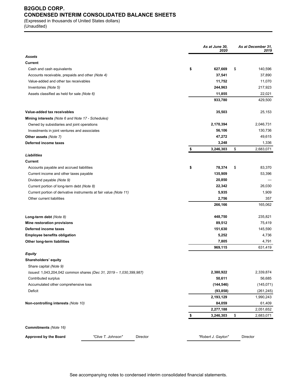# **B2GOLD CORP. CONDENSED INTERIM CONSOLIDATED BALANCE SHEETS**

(Expressed in thousands of United States dollars) (Unaudited)

|                                                                    | As at June 30,<br>2020 | As at December 31,<br>2019 |
|--------------------------------------------------------------------|------------------------|----------------------------|
| <b>Assets</b>                                                      |                        |                            |
| Current                                                            |                        |                            |
| Cash and cash equivalents                                          | \$<br>627,669          | \$<br>140,596              |
| Accounts receivable, prepaids and other (Note 4)                   | 37,541                 | 37,890                     |
| Value-added and other tax receivables                              | 11,752                 | 11,070                     |
| Inventories (Note 5)                                               | 244,963                | 217,923                    |
| Assets classified as held for sale (Note 6)                        | 11,855                 | 22,021                     |
|                                                                    | 933,780                | 429,500                    |
| Value-added tax receivables                                        | 35,503                 | 25,153                     |
| Mining interests (Note 6 and Note 17 - Schedules)                  |                        |                            |
| Owned by subsidiaries and joint operations                         | 2,170,394              | 2,046,731                  |
| Investments in joint ventures and associates                       | 56,106                 | 130,736                    |
| Other assets (Note 7)                                              | 47,272                 | 49,615                     |
| Deferred income taxes                                              | 3,248                  | 1,336                      |
|                                                                    | \$<br>3,246,303        | \$<br>2,683,071            |
| Liabilities                                                        |                        |                            |
| <b>Current</b><br>Accounts payable and accrued liabilities         | \$<br>78,374           | \$<br>83,370               |
| Current income and other taxes payable                             | 135,909                | 53,396                     |
| Dividend payable (Note 9)                                          | 20,850                 |                            |
| Current portion of long-term debt (Note 8)                         | 22,342                 | 26,030                     |
| Current portion of derivative instruments at fair value (Note 11)  | 5,935                  | 1,909                      |
| Other current liabilities                                          | 2,756                  | 357                        |
|                                                                    | 266,166                | 165,062                    |
| Long-term debt (Note 8)                                            | 448,750                | 235,821                    |
| Mine restoration provisions                                        | 89,512                 | 75,419                     |
| Deferred income taxes                                              | 151,630                | 145,590                    |
| <b>Employee benefits obligation</b>                                | 5,252                  | 4,736                      |
| Other long-term liabilities                                        | 7,805                  | 4,791                      |
|                                                                    | 969,115                | 631,419                    |
| Equity                                                             |                        |                            |
| Shareholders' equity                                               |                        |                            |
| Share capital (Note 9)                                             |                        |                            |
| Issued: 1,043,204,042 common shares (Dec 31, 2019 - 1,030,399,987) | 2,380,922              | 2,339,874                  |
| Contributed surplus                                                | 50,611                 | 56,685                     |
| Accumulated other comprehensive loss                               | (144, 546)             | (145, 071)                 |
| Deficit                                                            | (93, 858)              | (261, 245)                 |
|                                                                    | 2,193,129              | 1,990,243                  |
| Non-controlling interests (Note 10)                                | 84,059                 | 61,409                     |
|                                                                    | 2,277,188              | 2,051,652                  |
|                                                                    | 3,246,303              | \$<br>2,683,071            |
| Commitments (Note 16)                                              |                        |                            |
|                                                                    |                        |                            |
| Approved by the Board<br>"Clive T. Johnson"<br>Director            | "Robert J. Gayton"     | Director                   |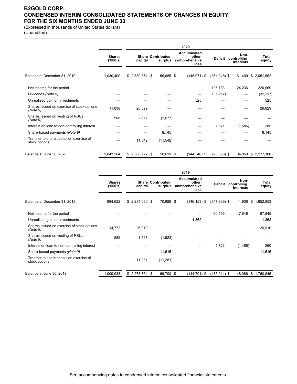# **B2GOLD CORP. CONDENSED INTERIM CONSOLIDATED STATEMENTS OF CHANGES IN EQUITY FOR THE SIX MONTHS ENDED JUNE 30**

(Expressed in thousands of United States dollars) (Unaudited)

|                                                           |                           |                 |                                     | 2020 |                                               |                 |                                  |                 |
|-----------------------------------------------------------|---------------------------|-----------------|-------------------------------------|------|-----------------------------------------------|-----------------|----------------------------------|-----------------|
|                                                           | <b>Shares</b><br>('000's) | capital         | <b>Share Contributed</b><br>surplus |      | Accumulated<br>other<br>comprehensive<br>loss | <b>Deficit</b>  | Non-<br>controlling<br>interests | Total<br>equity |
| Balance at December 31, 2019                              | 1,030,400                 | $$2,339,874$ \$ | 56,685 \$                           |      | $(145,071)$ \$                                | $(261, 245)$ \$ | 61,409                           | \$2,051,652     |
| Net income for the period                                 |                           |                 |                                     |      |                                               | 196,733         | 24,236                           | 220,969         |
| Dividends (Note 9)                                        |                           |                 |                                     |      |                                               | (31, 217)       |                                  | (31, 217)       |
| Unrealised gain on investments                            |                           |                 |                                     |      | 525                                           |                 |                                  | 525             |
| Shares issued on exercise of stock options<br>(Note 9)    | 11,838                    | 26,829          |                                     |      |                                               |                 |                                  | 26,829          |
| Shares issued on vesting of RSUs<br>(Note 9)              | 966                       | 2,677           | (2,677)                             |      |                                               |                 |                                  |                 |
| Interest on loan to non-controlling interest              |                           |                 |                                     |      |                                               | 1,871           | (1,586)                          | 285             |
| Share-based payments (Note 9)                             |                           |                 | 8,145                               |      |                                               |                 |                                  | 8,145           |
| Transfer to share capital on exercise of<br>stock options |                           | 11,542          | (11, 542)                           |      |                                               |                 |                                  |                 |
| Balance at June 30, 2020                                  | 1,043,204                 | $$2,380,922$ \$ | 50,611 \$                           |      | $(144, 546)$ \$                               | $(93,858)$ \$   | 84,059                           | \$2,277,188     |

|                                                           |                           |                 |                                     | 2019                                                 |                 |                                  |                 |
|-----------------------------------------------------------|---------------------------|-----------------|-------------------------------------|------------------------------------------------------|-----------------|----------------------------------|-----------------|
|                                                           | <b>Shares</b><br>('000's) | capital         | <b>Share Contributed</b><br>surplus | <b>Accumulated</b><br>other<br>comprehensive<br>loss | Deficit         | Non-<br>controlling<br>interests | Total<br>equity |
| Balance at December 31, 2018                              | 994,622                   | $$2,234,050$ \$ | 70,889 \$                           | $(146, 153)$ \$                                      | $(547, 839)$ \$ | 41,906                           | \$1,652,853     |
| Net income for the period                                 |                           |                 |                                     |                                                      | 60,199          | 7,646                            | 67,845          |
| Unrealised gain on investments                            |                           |                 |                                     | 1,362                                                |                 |                                  | 1,362           |
| Shares issued on exercise of stock options<br>(Note 9)    | 14,772                    | 26,910          |                                     |                                                      |                 |                                  | 26,910          |
| Shares issued on vesting of RSUs<br>(Note 9)              | 539                       | 1,523           | (1,523)                             |                                                      |                 |                                  |                 |
| Interest on loan to non-controlling interest              |                           |                 |                                     |                                                      | 1,726           | (1,466)                          | 260             |
| Share-based payments (Note 9)                             |                           |                 | 11,615                              |                                                      |                 |                                  | 11,615          |
| Transfer to share capital on exercise of<br>stock options |                           | 11,281          | (11, 281)                           |                                                      |                 |                                  |                 |
| Balance at June 30, 2019                                  | 1,009,933                 | $$2,273,764$ \$ | 69,700 \$                           | $(144, 791)$ \$                                      | $(485, 914)$ \$ | 48,086                           | \$1,760,845     |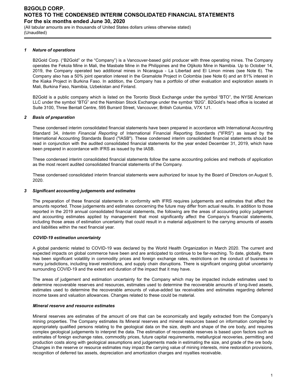(All tabular amounts are in thousands of United States dollars unless otherwise stated) (Unaudited)

#### *1 Nature of operations*

B2Gold Corp. ("B2Gold" or the "Company") is a Vancouver-based gold producer with three operating mines. The Company operates the Fekola Mine in Mali, the Masbate Mine in the Philippines and the Otjikoto Mine in Namibia. Up to October 14, 2019, the Company operated two additional mines in Nicaragua - La Libertad and El Limon mines (see Note 6). The Company also has a 50% joint operation interest in the Gramalote Project in Colombia (see Note 6) and an 81% interest in the Kiaka Project in Burkina Faso. In addition, the Company has a portfolio of other evaluation and exploration assets in Mali, Burkina Faso, Namibia, Uzbekistan and Finland.

B2Gold is a public company which is listed on the Toronto Stock Exchange under the symbol "BTO", the NYSE American LLC under the symbol "BTG" and the Namibian Stock Exchange under the symbol "B2G". B2Gold's head office is located at Suite 3100, Three Bentall Centre, 595 Burrard Street, Vancouver, British Columbia, V7X 1J1.

### *2 Basis of preparation*

These condensed interim consolidated financial statements have been prepared in accordance with International Accounting Standard 34, *Interim Financial Reporting* of International Financial Reporting Standards ("IFRS") as issued by the International Accounting Standards Board ("IASB"). These condensed interim consolidated financial statements should be read in conjunction with the audited consolidated financial statements for the year ended December 31, 2019, which have been prepared in accordance with IFRS as issued by the IASB.

These condensed interim consolidated financial statements follow the same accounting policies and methods of application as the most recent audited consolidated financial statements of the Company.

These condensed consolidated interim financial statements were authorized for issue by the Board of Directors on August 5, 2020.

#### *3 Significant accounting judgements and estimates*

The preparation of these financial statements in conformity with IFRS requires judgements and estimates that affect the amounts reported. Those judgements and estimates concerning the future may differ from actual results. In addition to those reported in the 2019 annual consolidated financial statements, the following are the areas of accounting policy judgement and accounting estimates applied by management that most significantly affect the Company's financial statements, including those areas of estimation uncertainty that could result in a material adjustment to the carrying amounts of assets and liabilities within the next financial year.

#### *COVID-19 estimation uncertainty*

A global pandemic related to COVID-19 was declared by the World Health Organization in March 2020. The current and expected impacts on global commerce have been and are anticipated to continue to be far-reaching. To date, globally, there has been significant volatility in commodity prices and foreign exchange rates, restrictions on the conduct of business in many jurisdictions, including travel restrictions, and supply chain disruptions. There is significant ongoing global uncertainty surrounding COVID-19 and the extent and duration of the impact that it may have.

The areas of judgement and estimation uncertainty for the Company which may be impacted include estimates used to determine recoverable reserves and resources, estimates used to determine the recoverable amounts of long-lived assets, estimates used to determine the recoverable amounts of value-added tax receivables and estimates regarding deferred income taxes and valuation allowances. Changes related to these could be material.

#### *Mineral reserve and resource estimates*

Mineral reserves are estimates of the amount of ore that can be economically and legally extracted from the Company's mining properties. The Company estimates its Mineral reserves and mineral resources based on information compiled by appropriately qualified persons relating to the geological data on the size, depth and shape of the ore body, and requires complex geological judgements to interpret the data. The estimation of recoverable reserves is based upon factors such as estimates of foreign exchange rates, commodity prices, future capital requirements, metallurgical recoveries, permitting and production costs along with geological assumptions and judgements made in estimating the size, and grade of the ore body. Changes in the reserve or resource estimates may impact the carrying value of mining interests, mine restoration provisions, recognition of deferred tax assets, depreciation and amortization charges and royalties receivable.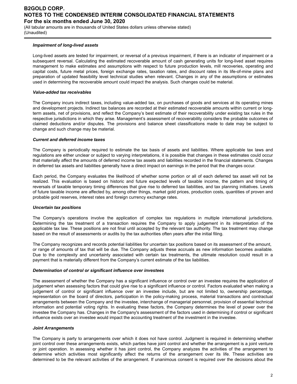(All tabular amounts are in thousands of United States dollars unless otherwise stated) (Unaudited)

### *Impairment of long-lived assets*

Long-lived assets are tested for impairment, or reversal of a previous impairment, if there is an indicator of impairment or a subsequent reversal. Calculating the estimated recoverable amount of cash generating units for long-lived asset requires management to make estimates and assumptions with respect to future production levels, mill recoveries, operating and capital costs, future metal prices, foreign exchange rates, taxation rates, and discount rates in its life-of-mine plans and preparation of updated feasibility level technical studies when relevant. Changes in any of the assumptions or estimates used in determining the recoverable amount could impact the analysis. Such changes could be material.

#### *Value-added tax receivables*

The Company incurs indirect taxes, including value-added tax, on purchases of goods and services at its operating mines and development projects. Indirect tax balances are recorded at their estimated recoverable amounts within current or longterm assets, net of provisions, and reflect the Company's best estimate of their recoverability under existing tax rules in the respective jurisdictions in which they arise. Management's assessment of recoverability considers the probable outcomes of claimed deductions and/or disputes. The provisions and balance sheet classifications made to date may be subject to change and such change may be material.

#### *Current and deferred income taxes*

The Company is periodically required to estimate the tax basis of assets and liabilities. Where applicable tax laws and regulations are either unclear or subject to varying interpretations, it is possible that changes in these estimates could occur that materially affect the amounts of deferred income tax assets and liabilities recorded in the financial statements. Changes in deferred tax assets and liabilities generally have a direct impact on earnings in the period that the changes occur.

Each period, the Company evaluates the likelihood of whether some portion or all of each deferred tax asset will not be realized. This evaluation is based on historic and future expected levels of taxable income, the pattern and timing of reversals of taxable temporary timing differences that give rise to deferred tax liabilities, and tax planning initiatives. Levels of future taxable income are affected by, among other things, market gold prices, production costs, quantities of proven and probable gold reserves, interest rates and foreign currency exchange rates.

#### *Uncertain tax positions*

The Company's operations involve the application of complex tax regulations in multiple international jurisdictions. Determining the tax treatment of a transaction requires the Company to apply judgement in its interpretation of the applicable tax law. These positions are not final until accepted by the relevant tax authority. The tax treatment may change based on the result of assessments or audits by the tax authorities often years after the initial filing.

The Company recognizes and records potential liabilities for uncertain tax positions based on its assessment of the amount, or range of amounts of tax that will be due. The Company adjusts these accruals as new information becomes available. Due to the complexity and uncertainty associated with certain tax treatments, the ultimate resolution could result in a payment that is materially different from the Company's current estimate of the tax liabilities.

#### *Determination of control or significant influence over investees*

The assessment of whether the Company has a significant influence or control over an investee requires the application of judgement when assessing factors that could give rise to a significant influence or control. Factors evaluated when making a judgement of control or significant influence over an investee include, but are not limited to, ownership percentage, representation on the board of directors, participation in the policy-making process, material transactions and contractual arrangements between the Company and the investee, interchange of managerial personnel, provision of essential technical information and potential voting rights. In evaluating these factors, the Company determines the level of power over the investee the Company has. Changes in the Company's assessment of the factors used in determining if control or significant influence exists over an investee would impact the accounting treatment of the investment in the investee.

#### *Joint Arrangements*

The Company is party to arrangements over which it does not have control. Judgment is required in determining whether joint control over these arrangements exists, which parties have joint control and whether the arrangement is a joint venture or joint operation. In assessing whether it has joint control, the Company analyzes the activities of the arrangement to determine which activities most significantly affect the returns of the arrangement over its life. These activities are determined to be the relevant activities of the arrangement. If unanimous consent is required over the decisions about the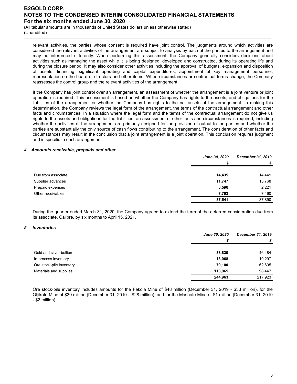(All tabular amounts are in thousands of United States dollars unless otherwise stated) (Unaudited)

relevant activities, the parties whose consent is required have joint control. The judgments around which activities are considered the relevant activities of the arrangement are subject to analysis by each of the parties to the arrangement and may be interpreted differently. When performing this assessment, the Company generally considers decisions about activities such as managing the asset while it is being designed, developed and constructed, during its operating life and during the closure period. It may also consider other activities including the approval of budgets, expansion and disposition of assets, financing, significant operating and capital expenditures, appointment of key management personnel, representation on the board of directors and other items. When circumstances or contractual terms change, the Company reassesses the control group and the relevant activities of the arrangement.

If the Company has joint control over an arrangement, an assessment of whether the arrangement is a joint venture or joint operation is required. This assessment is based on whether the Company has rights to the assets, and obligations for the liabilities of the arrangement or whether the Company has rights to the net assets of the arrangement. In making this determination, the Company reviews the legal form of the arrangement, the terms of the contractual arrangement and other facts and circumstances. In a situation where the legal form and the terms of the contractual arrangement do not give us rights to the assets and obligations for the liabilities, an assessment of other facts and circumstances is required, including whether the activities of the arrangement are primarily designed for the provision of output to the parties and whether the parties are substantially the only source of cash flows contributing to the arrangement. The consideration of other facts and circumstances may result in the conclusion that a joint arrangement is a joint operation. This conclusion requires judgment and is specific to each arrangement.

#### *4 Accounts receivable, prepaids and other*

|                    | <b>June 30, 2020</b> | December 31, 2019 |
|--------------------|----------------------|-------------------|
|                    | S                    | \$                |
|                    |                      |                   |
| Due from associate | 14,435               | 14,441            |
| Supplier advances  | 11,747               | 13,768            |
| Prepaid expenses   | 3,596                | 2,221             |
| Other receivables  | 7,763                | 7,460             |
|                    | 37,541               | 37,890            |

During the quarter ended March 31, 2020, the Company agreed to extend the term of the deferred consideration due from its associate, Calibre, by six months to April 15, 2021.

#### *5 Inventories*

|                          | <b>June 30, 2020</b> | December 31, 2019 |  |
|--------------------------|----------------------|-------------------|--|
|                          | \$                   |                   |  |
| Gold and silver bullion  | 38,830               | 46,484            |  |
| In-process inventory     | 13,068               | 10,297            |  |
| Ore stock-pile inventory | 79,100               | 62,695            |  |
| Materials and supplies   | 113.965              | 98,447            |  |
|                          | 244,963              | 217,923           |  |

Ore stock-pile inventory includes amounts for the Fekola Mine of \$48 million (December 31, 2019 - \$33 million), for the Otjikoto Mine of \$30 million (December 31, 2019 – \$28 million), and for the Masbate Mine of \$1 million (December 31, 2019 - \$2 million).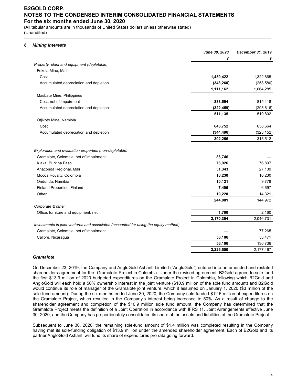(All tabular amounts are in thousands of United States dollars unless otherwise stated) (Unaudited)

### *6 Mining interests*

|                                                                                      | June 30, 2020 | December 31, 2019 |
|--------------------------------------------------------------------------------------|---------------|-------------------|
|                                                                                      | \$            |                   |
| Property, plant and equipment (depletable)                                           |               |                   |
| Fekola Mine, Mali                                                                    |               |                   |
| Cost                                                                                 | 1,459,422     | 1,322,865         |
| Accumulated depreciation and depletion                                               | (348, 260)    | (258, 580)        |
|                                                                                      | 1,111,162     | 1,064,285         |
| Masbate Mine, Philippines                                                            |               |                   |
| Cost, net of impairment                                                              | 833,594       | 815,418           |
| Accumulated depreciation and depletion                                               | (322, 459)    | (295, 616)        |
|                                                                                      | 511,135       | 519,802           |
| Otjikoto Mine, Namibia                                                               |               |                   |
| Cost                                                                                 | 646,752       | 638,664           |
| Accumulated depreciation and depletion                                               | (344, 496)    | (323, 152)        |
|                                                                                      | 302,256       | 315,512           |
| Exploration and evaluation properties (non-depletable)                               |               |                   |
| Gramalote, Colombia, net of impairment                                               | 86,746        |                   |
| Kiaka, Burkina Faso                                                                  | 78,926        | 76,807            |
| Anaconda Regional, Mali                                                              | 31,343        | 27,139            |
| Mocoa Royalty, Colombia                                                              | 10,230        | 10,230            |
| Ondundu, Namibia                                                                     | 10,121        | 9,778             |
| Finland Properties, Finland                                                          | 7,495         | 6,697             |
| Other                                                                                | 19,220        | 14,321            |
|                                                                                      | 244,081       | 144,972           |
| Corporate & other                                                                    |               |                   |
| Office, furniture and equipment, net                                                 | 1,760         | 2,160             |
|                                                                                      | 2,170,394     | 2,046,731         |
| Investments in joint ventures and associates (accounted for using the equity method) |               |                   |
| Gramalote, Colombia, net of impairment                                               |               | 77,265            |
| Calibre, Nicaragua                                                                   | 56,106        | 53,471            |
|                                                                                      | 56,106        | 130,736           |
|                                                                                      | 2,226,500     | 2,177,467         |

### *Gramalote*

On December 23, 2019, the Company and AngloGold Ashanti Limited ("AngloGold") entered into an amended and restated shareholders agreement for the Gramalote Project in Colombia. Under the revised agreement, B2Gold agreed to sole fund the first \$13.9 million of 2020 budgeted expenditures on the Gramalote Project in Colombia, following which B2Gold and AngloGold will each hold a 50% ownership interest in the joint venture (\$10.9 million of the sole fund amount) and B2Gold would continue its role of manager of the Gramalote joint venture, which it assumed on January 1, 2020 (\$3 million of the sole fund amount). During the six months ended June 30, 2020, the Company sole-funded \$12.5 million of expenditures on the Gramalote Project, which resulted in the Company's interest being increased to 50%. As a result of change to the shareholder agreement and completion of the \$10.9 million sole fund amount, the Company has determined that the Gramalote Project meets the definition of a Joint Operation in accordance with IFRS 11, Joint Arrangements effective June 30, 2020, and the Company has proportionately consolidated its share of the assets and liabilities of the Gramalote Project.

Subsequent to June 30, 2020, the remaining sole-fund amount of \$1.4 million was completed resulting in the Company having met its sole-funding obligation of \$13.9 million under the amended shareholder agreement. Each of B2Gold and its partner AngloGold Ashanti will fund its share of expenditures pro rata going forward.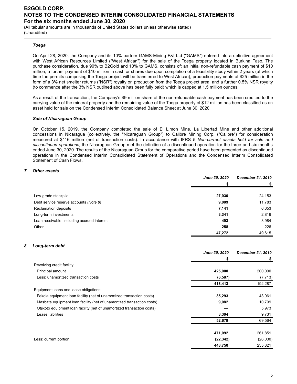(All tabular amounts are in thousands of United States dollars unless otherwise stated) (Unaudited)

### *Toega*

On April 28, 2020, the Company and its 10% partner GAMS-Mining F&I Ltd ("GAMS") entered into a definitive agreement with West African Resources Limited ("West African") for the sale of the Toega property located in Burkina Faso. The purchase consideration, due 90% to B2Gold and 10% to GAMS, consists of: an initial non-refundable cash payment of \$10 million; a further payment of \$10 million in cash or shares due upon completion of a feasibility study within 2 years (at which time the permits comprising the Toega project will be transferred to West African); production payments of \$25 million in the form of a 3% net smelter returns ("NSR") royalty on production from the Toega project area; and a further 0.5% NSR royalty (to commence after the 3% NSR outlined above has been fully paid) which is capped at 1.5 million ounces.

As a result of the transaction, the Company's \$9 million share of the non-refundable cash payment has been credited to the carrying value of the mineral property and the remaining value of the Toega property of \$12 million has been classified as an asset held for sale on the Condensed Interim Consolidated Balance Sheet at June 30, 2020.

### *Sale of Nicaraguan Group*

On October 15, 2019, the Company completed the sale of El Limon Mine, La Libertad Mine and other additional concessions in Nicaragua (collectively, the "Nicaraguan Group") to Calibre Mining Corp. ("Calibre") for consideration measured at \$116 million (net of transaction costs). In accordance with IFRS 5 *Non-current assets held for sale and discontinued operations*, the Nicaraguan Group met the definition of a discontinued operation for the three and six months ended June 30, 2020. The results of the Nicaraguan Group for the comparative period have been presented as discontinued operations in the Condensed Interim Consolidated Statement of Operations and the Condensed Interim Consolidated Statement of Cash Flows.

### *7 Other assets*

|                                             | <b>June 30, 2020</b> | December 31, 2019 |
|---------------------------------------------|----------------------|-------------------|
|                                             |                      |                   |
|                                             |                      |                   |
| Low-grade stockpile                         | 27,030               | 24,153            |
| Debt service reserve accounts (Note 8)      | 9,009                | 11,783            |
| Reclamation deposits                        | 7,141                | 6,653             |
| Long-term investments                       | 3,341                | 2,816             |
| Loan receivable, including accrued interest | 493                  | 3,984             |
| Other                                       | 258                  | 226               |
|                                             | 47,272               | 49,615            |

#### *8 Long-term debt*

|                                                                         | June 30, 2020 | December 31, 2019 |
|-------------------------------------------------------------------------|---------------|-------------------|
|                                                                         | \$            |                   |
| Revolving credit facility:                                              |               |                   |
| Principal amount                                                        | 425,000       | 200,000           |
| Less: unamortized transaction costs                                     | (6, 587)      | (7, 713)          |
|                                                                         | 418,413       | 192,287           |
| Equipment loans and lease obligations:                                  |               |                   |
| Fekola equipment loan facility (net of unamortized transaction costs)   | 35,293        | 43,061            |
| Masbate equipment loan facility (net of unamortized transaction costs)  | 9,082         | 10,799            |
| Otjikoto equipment loan facility (net of unamortized transaction costs) |               | 5,973             |
| Lease liabilities                                                       | 8,304         | 9,731             |
|                                                                         | 52,679        | 69,564            |
|                                                                         | 471,092       | 261,851           |
| Less: current portion                                                   | (22, 342)     | (26,030)          |
|                                                                         | 448,750       | 235,821           |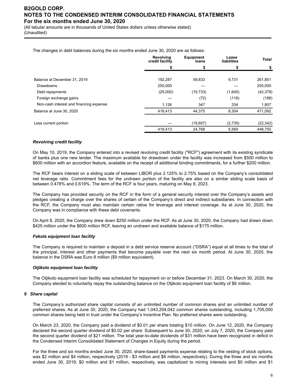(All tabular amounts are in thousands of United States dollars unless otherwise stated) (Unaudited)

The changes in debt balances during the six months ended June 30, 2020 are as follows:

|                                         | <b>Revolving</b><br>credit facility | <b>Equipment</b><br>loans | Lease<br>liabilities | <b>Total</b> |
|-----------------------------------------|-------------------------------------|---------------------------|----------------------|--------------|
|                                         |                                     |                           |                      |              |
|                                         |                                     |                           |                      |              |
| Balance at December 31, 2019            | 192,287                             | 59,833                    | 9,731                | 261,851      |
| Drawdowns                               | 250,000                             |                           |                      | 250,000      |
| Debt repayments                         | (25,000)                            | (15, 733)                 | (1,645)              | (42, 378)    |
| Foreign exchange gains                  |                                     | (72)                      | (116)                | (188)        |
| Non-cash interest and financing expense | 1,126                               | 347                       | 334                  | 1,807        |
| Balance at June 30, 2020                | 418,413                             | 44,375                    | 8,304                | 471,092      |
| Less current portion                    |                                     | (19,607)                  | (2,735)              | (22, 342)    |
|                                         | 418,413                             | 24,768                    | 5,569                | 448,750      |

### *Revolving credit facility*

On May 10, 2019, the Company entered into a revised revolving credit facility ("RCF") agreement with its existing syndicate of banks plus one new lender. The maximum available for drawdown under the facility was increased from \$500 million to \$600 million with an accordion feature, available on the receipt of additional binding commitments, for a further \$200 million.

The RCF bears interest on a sliding scale of between LIBOR plus 2.125% to 2.75% based on the Company's consolidated net leverage ratio. Commitment fees for the undrawn portion of the facility are also on a similar sliding scale basis of between 0.478% and 0.619%. The term of the RCF is four years, maturing on May 9, 2023.

The Company has provided security on the RCF in the form of a general security interest over the Company's assets and pledges creating a charge over the shares of certain of the Company's direct and indirect subsidiaries. In connection with the RCF, the Company must also maintain certain ratios for leverage and interest coverage. As at June 30, 2020, the Company was in compliance with these debt covenants.

On April 8, 2020, the Company drew down \$250 million under the RCF. As at June 30, 2020, the Company had drawn down \$425 million under the \$600 million RCF, leaving an undrawn and available balance of \$175 million.

#### *Fekola equipment loan facility*

The Company is required to maintain a deposit in a debt service reserve account ("DSRA") equal at all times to the total of the principal, interest and other payments that become payable over the next six month period. At June 30, 2020, the balance in the DSRA was Euro 8 million (\$9 million equivalent).

### *Otjikoto equipment loan facility*

The Otjikoto equipment loan facility was scheduled for repayment on or before December 31, 2023. On March 30, 2020, the Company elected to voluntarily repay the outstanding balance on the Otjikoto equipment loan facility of \$6 million.

#### *9 Share capital*

The Company's authorized share capital consists of an unlimited number of common shares and an unlimited number of preferred shares. As at June 30, 2020, the Company had 1,043,204,042 common shares outstanding, including 1,705,000 common shares being held in trust under the Company's Incentive Plan. No preferred shares were outstanding.

On March 23, 2020, the Company paid a dividend of \$0.01 per share totaling \$10 million. On June 12, 2020, the Company declared the second quarter dividend of \$0.02 per share. Subsequent to June 30, 2020, on July 7, 2020, the Company paid the second quarter dividend of \$21 million. The total year-to-date dividends of \$31 million have been recognized in deficit in the Condensed Interim Consolidated Statement of Changes in Equity during the period.

For the three and six months ended June 30, 2020, share-based payments expense relating to the vesting of stock options, was \$2 million and \$4 million, respectively (2019 - \$3 million and \$6 million, respectively). During the three and six months ended June 30, 2019, \$0 million and \$1 million, respectively, was capitalized to mining interests and \$0 million and \$1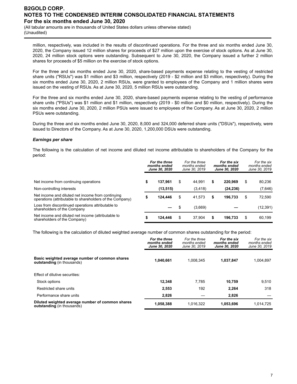(All tabular amounts are in thousands of United States dollars unless otherwise stated) (Unaudited)

million, respectively, was included in the results of discontinued operations. For the three and six months ended June 30, 2020, the Company issued 12 million shares for proceeds of \$27 million upon the exercise of stock options. As at June 30, 2020, 24 million stock options were outstanding. Subsequent to June 30, 2020, the Company issued a further 2 million shares for proceeds of \$5 million on the exercise of stock options.

For the three and six months ended June 30, 2020, share-based payments expense relating to the vesting of restricted share units ("RSUs") was \$1 million and \$3 million, respectively (2019 - \$2 million and \$3 million, respectively). During the six months ended June 30, 2020, 2 million RSUs, were granted to employees of the Company and 1 million shares were issued on the vesting of RSUs. As at June 30, 2020, 5 million RSUs were outstanding.

For the three and six months ended June 30, 2020, share-based payments expense relating to the vesting of performance share units ("PSUs") was \$1 million and \$1 million, respectively (2019 - \$0 million and \$0 million, respectively). During the six months ended June 30, 2020, 2 million PSUs were issued to employees of the Company. As at June 30, 2020, 2 million PSUs were outstanding.

During the three and six months ended June 30, 2020, 8,000 and 324,000 deferred share units ("DSUs"), respectively, were issued to Directors of the Company. As at June 30, 2020, 1,200,000 DSUs were outstanding.

### *Earnings per share*

The following is the calculation of net income and diluted net income attributable to shareholders of the Company for the period:

|                                                                                                               | For the three<br>months ended<br>June 30, 2020 |           | For the three<br>months ended<br>June 30, 2019 |          | For the six<br>months ended<br><b>June 30, 2020</b> |           | For the six<br>months ended<br>June 30, 2019 |           |
|---------------------------------------------------------------------------------------------------------------|------------------------------------------------|-----------|------------------------------------------------|----------|-----------------------------------------------------|-----------|----------------------------------------------|-----------|
| Net income from continuing operations                                                                         | S                                              | 137.961   | \$                                             | 44.991   | \$                                                  | 220.969   | \$                                           | 80,236    |
| Non-controlling interests                                                                                     |                                                | (13, 515) |                                                | (3, 418) |                                                     | (24, 236) |                                              | (7,646)   |
| Net income and diluted net income from continuing<br>operations (attributable to shareholders of the Company) |                                                | 124.446   | \$                                             | 41.573   | \$                                                  | 196.733   | \$                                           | 72,590    |
| Loss from discontinued operations attributable to<br>shareholders of the Company                              |                                                |           | \$                                             | (3,669)  |                                                     |           |                                              | (12, 391) |
| Net income and diluted net income (attributable to<br>shareholders of the Company)                            |                                                | 124.446   | \$                                             | 37.904   | \$                                                  | 196,733   | \$                                           | 60,199    |

The following is the calculation of diluted weighted average number of common shares outstanding for the period:

|                                                                                       | For the three<br>months ended<br>June 30, 2020 | For the three<br>months ended<br>June 30, 2019 | For the six<br>months ended<br><b>June 30, 2020</b> | For the six<br>months ended<br>June 30, 2019 |
|---------------------------------------------------------------------------------------|------------------------------------------------|------------------------------------------------|-----------------------------------------------------|----------------------------------------------|
| Basic weighted average number of common shares<br><b>outstanding</b> (in thousands)   | 1.040.661                                      | 1.008.345                                      | 1,037,847                                           | 1,004,897                                    |
| Effect of dilutive securities:                                                        |                                                |                                                |                                                     |                                              |
| Stock options                                                                         | 12.348                                         | 7.785                                          | 10,759                                              | 9,510                                        |
| Restricted share units                                                                | 2.553                                          | 192                                            | 2.264                                               | 318                                          |
| Performance share units                                                               | 2,826                                          |                                                | 2.826                                               |                                              |
| Diluted weighted average number of common shares<br><b>outstanding</b> (in thousands) | 1,058,388                                      | 1.016.322                                      | 1.053.696                                           | 1,014,725                                    |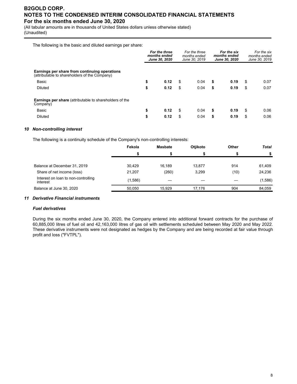(All tabular amounts are in thousands of United States dollars unless otherwise stated) (Unaudited)

The following is the basic and diluted earnings per share:

|                                                                                                | For the three<br>months ended<br>June 30, 2020 |      | For the three<br>months ended<br>months ended<br>June 30, 2019 |      | For the six<br>June 30, 2020 | For the six<br>months ended<br>June 30, 2019 |    |      |
|------------------------------------------------------------------------------------------------|------------------------------------------------|------|----------------------------------------------------------------|------|------------------------------|----------------------------------------------|----|------|
| Earnings per share from continuing operations<br>(attributable to shareholders of the Company) |                                                |      |                                                                |      |                              |                                              |    |      |
| Basic                                                                                          | \$                                             | 0.12 | \$                                                             | 0.04 | \$                           | 0.19                                         | \$ | 0.07 |
| <b>Diluted</b>                                                                                 | \$                                             | 0.12 | \$                                                             | 0.04 | \$                           | 0.19                                         | \$ | 0.07 |
| <b>Earnings per share</b> (attributable to shareholders of the<br>Company)                     |                                                |      |                                                                |      |                              |                                              |    |      |
| Basic                                                                                          | \$                                             | 0.12 | \$                                                             | 0.04 | \$                           | 0.19                                         | \$ | 0.06 |
| <b>Diluted</b>                                                                                 | \$                                             | 0.12 | \$                                                             | 0.04 | \$                           | 0.19                                         | \$ | 0.06 |

### *10 Non-controlling interest*

The following is a continuity schedule of the Company's non-controlling interests:

|                                                 | Fekola  | <b>Masbate</b> | <b>Otiikoto</b> | Other | <b>Total</b> |
|-------------------------------------------------|---------|----------------|-----------------|-------|--------------|
|                                                 |         |                |                 |       |              |
| Balance at December 31, 2019                    | 30.429  | 16.189         | 13.877          | 914   | 61,409       |
| Share of net income (loss)                      | 21.207  | (260)          | 3,299           | (10)  | 24,236       |
| Interest on loan to non-controlling<br>interest | (1,586) |                |                 |       | (1,586)      |
| Balance at June 30, 2020                        | 50.050  | 15.929         | 17.176          | 904   | 84,059       |

#### *11 Derivative Financial instruments*

#### *Fuel derivatives*

During the six months ended June 30, 2020, the Company entered into additional forward contracts for the purchase of 60,885,000 litres of fuel oil and 42,163,000 litres of gas oil with settlements scheduled between May 2020 and May 2022. These derivative instruments were not designated as hedges by the Company and are being recorded at fair value through profit and loss ("FVTPL").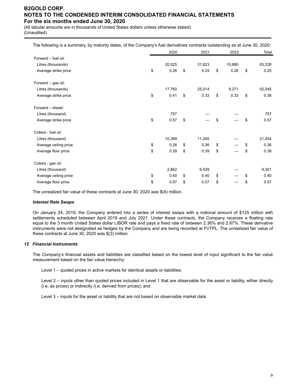(All tabular amounts are in thousands of United States dollars unless otherwise stated) (Unaudited)

| The following is a summary, by maturity dates, of the Company's fuel derivatives contracts outstanding as at June 30, 2020: |            |            |            |            |
|-----------------------------------------------------------------------------------------------------------------------------|------------|------------|------------|------------|
|                                                                                                                             | 2020       | 2021       | 2022       | Total      |
| Forward - fuel oil:                                                                                                         |            |            |            |            |
| Litres (thousands)                                                                                                          | 20,525     | 31,823     | 10,880     | 63,228     |
| Average strike price                                                                                                        | \$<br>0.26 | \$<br>0.24 | \$<br>0.26 | \$<br>0.25 |
| Forward - gas oil:                                                                                                          |            |            |            |            |
| Litres (thousands)                                                                                                          | 17,760     | 25,014     | 9,271      | 52,045     |
| Average strike price                                                                                                        | \$<br>0.41 | \$<br>0.33 | \$<br>0.33 | \$<br>0.36 |
| Forward - diesel:                                                                                                           |            |            |            |            |
| Litres (thousand)                                                                                                           | 757        |            |            | 757        |
| Average strike price                                                                                                        | \$<br>0.57 | \$         | \$         | \$<br>0.57 |
| Collars - fuel oil:                                                                                                         |            |            |            |            |
| Litres (thousand)                                                                                                           | 10,399     | 11,055     |            | 21,454     |
| Average ceiling price                                                                                                       | \$<br>0.26 | \$<br>0.26 | \$         | \$<br>0.26 |
| Average floor price                                                                                                         | \$<br>0.39 | \$<br>0.39 | \$         | \$<br>0.39 |
| Collars - gas oil:                                                                                                          |            |            |            |            |
| Litres (thousand)                                                                                                           | 2,862      | 6,439      |            | 9,301      |
| Average ceiling price                                                                                                       | \$<br>0.40 | \$<br>0.40 | \$         | \$<br>0.40 |
| Average floor price                                                                                                         | \$<br>0.57 | \$<br>0.57 | \$         | \$<br>0.57 |

The unrealized fair value of these contracts at June 30, 2020 was \$(4) million.

#### *Interest Rate Swaps*

On January 24, 2019, the Company entered into a series of interest swaps with a notional amount of \$125 million with settlements scheduled between April 2019 and July 2021. Under these contracts, the Company receives a floating rate equal to the 3 month United States dollar LIBOR rate and pays a fixed rate of between 2.36% and 2.67%. These derivative instruments were not designated as hedges by the Company and are being recorded at FVTPL. The unrealized fair value of these contracts at June 30, 2020 was \$(3) million.

#### *12 Financial Instruments*

The Company's financial assets and liabilities are classified based on the lowest level of input significant to the fair value measurement based on the fair value hierarchy:

Level 1 – quoted prices in active markets for identical assets or liabilities;

Level 2 – inputs other than quoted prices included in Level 1 that are observable for the asset or liability, either directly (i.e. as prices) or indirectly (i.e. derived from prices); and

Level 3 – inputs for the asset or liability that are not based on observable market data.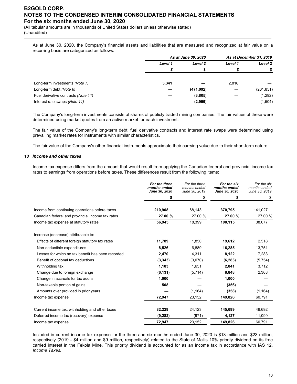(All tabular amounts are in thousands of United States dollars unless otherwise stated) (Unaudited)

As at June 30, 2020, the Company's financial assets and liabilities that are measured and recognized at fair value on a recurring basis are categorized as follows:

|                                     | As at June 30, 2020 |           | As at December 31, 2019 |            |
|-------------------------------------|---------------------|-----------|-------------------------|------------|
|                                     | Level 1             | Level 2   | Level 1                 | Level 2    |
|                                     |                     |           |                         |            |
| Long-term investments (Note 7)      | 3,341               |           | 2,816                   |            |
| Long-term debt (Note 8)             |                     | (471,092) |                         | (261, 851) |
| Fuel derivative contracts (Note 11) |                     | (3,805)   |                         | (1,292)    |
| Interest rate swaps (Note 11)       |                     | (2,999)   |                         | (1,504)    |

The Company's long-term investments consists of shares of publicly traded mining companies. The fair values of these were determined using market quotes from an active market for each investment.

The fair value of the Company's long-term debt, fuel derivative contracts and interest rate swaps were determined using prevailing market rates for instruments with similar characteristics.

The fair value of the Company's other financial instruments approximate their carrying value due to their short-term nature.

#### *13 Income and other taxes*

Income tax expense differs from the amount that would result from applying the Canadian federal and provincial income tax rates to earnings from operations before taxes. These differences result from the following items:

|                                                   | For the three<br>months ended<br>June 30, 2020 | For the three<br>months ended<br>June 30, 2019 | For the six<br>months ended<br>June 30, 2020 | For the six<br>months ended<br>June 30, 2019 |
|---------------------------------------------------|------------------------------------------------|------------------------------------------------|----------------------------------------------|----------------------------------------------|
|                                                   | \$                                             | \$                                             | \$                                           | \$                                           |
| Income from continuing operations before taxes    | 210.908                                        | 68.143                                         | 370,795                                      | 141,027                                      |
| Canadian federal and provincial income tax rates  | 27.00 %                                        | 27.00 %                                        | 27.00 %                                      | 27.00 %                                      |
| Income tax expense at statutory rates             | 56,945                                         | 18,399                                         | 100.115                                      | 38,077                                       |
| Increase (decrease) attributable to:              |                                                |                                                |                                              |                                              |
| Effects of different foreign statutory tax rates  | 11,789                                         | 1,850                                          | 19,612                                       | 2,518                                        |
| Non-deductible expenditures                       | 8,526                                          | 6,889                                          | 16,285                                       | 13,751                                       |
| Losses for which no tax benefit has been recorded | 2,470                                          | 4,311                                          | 8,122                                        | 7,283                                        |
| Benefit of optional tax deductions                | (3, 343)                                       | (3,070)                                        | (6, 283)                                     | (5, 754)                                     |
| Withholding tax                                   | 1,183                                          | 1,651                                          | 2,841                                        | 3,712                                        |
| Change due to foreign exchange                    | (6, 131)                                       | (5,714)                                        | 8,848                                        | 2,368                                        |
| Change in accruals for tax audits                 | 1,000                                          |                                                | 1,000                                        |                                              |
| Non-taxable portion of gains                      | 508                                            |                                                | (356)                                        |                                              |
| Amounts over provided in prior years              |                                                | (1, 164)                                       | (358)                                        | (1, 164)                                     |
| Income tax expense                                | 72,947                                         | 23,152                                         | 149,826                                      | 60,791                                       |
| Current income tax, withholding and other taxes   | 82,229                                         | 24,123                                         | 145,699                                      | 49,692                                       |
| Deferred income tax (recovery) expense            | (9,282)                                        | (971)                                          | 4,127                                        | 11,099                                       |
| Income tax expense                                | 72,947                                         | 23,152                                         | 149,826                                      | 60,791                                       |

Included in current income tax expense for the three and six months ended June 30, 2020 is \$13 million and \$23 million, respectively (2019 - \$4 million and \$9 million, respectively) related to the State of Mali's 10% priority dividend on its free carried interest in the Fekola Mine. This priority dividend is accounted for as an income tax in accordance with IAS 12, *Income Taxes.*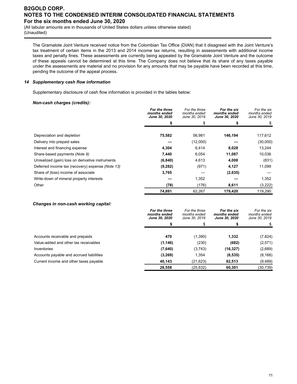(All tabular amounts are in thousands of United States dollars unless otherwise stated) (Unaudited)

The Gramalote Joint Venture received notice from the Colombian Tax Office (DIAN) that it disagreed with the Joint Venture's tax treatment of certain items in the 2013 and 2014 income tax returns, resulting in assessments with additional income taxes and penalty fines. These assessments are currently being appealed by the Gramalote Joint Venture and the outcome of these appeals cannot be determined at this time. The Company does not believe that its share of any taxes payable under the assessments are material and no provision for any amounts that may be payable have been recorded at this time, pending the outcome of the appeal process.

### *14 Supplementary cash flow information*

Supplementary disclosure of cash flow information is provided in the tables below:

### *Non-cash charges (credits):*

|                                                  | For the three<br>months ended<br>June 30, 2020 | For the three<br>months ended<br>June 30, 2019 | For the six<br>months ended<br><b>June 30, 2020</b> | For the six<br>months ended<br>June 30, 2019 |
|--------------------------------------------------|------------------------------------------------|------------------------------------------------|-----------------------------------------------------|----------------------------------------------|
|                                                  |                                                |                                                |                                                     |                                              |
| Depreciation and depletion                       | 75,582                                         | 56,981                                         | 146,194                                             | 117,612                                      |
| Delivery into prepaid sales                      |                                                | (12,000)                                       |                                                     | (30,000)                                     |
| Interest and financing expense                   | 4,304                                          | 6,414                                          | 8,028                                               | 13,244                                       |
| Share-based payments (Note 9)                    | 7,440                                          | 6,054                                          | 11,087                                              | 10,036                                       |
| Unrealized (gain) loss on derivative instruments | (6, 840)                                       | 4,613                                          | 4,008                                               | (831)                                        |
| Deferred income tax (recovery) expense (Note 13) | (9,282)                                        | (971)                                          | 4,127                                               | 11,099                                       |
| Share of (loss) income of associate              | 3,765                                          |                                                | (2,635)                                             |                                              |
| Write-down of mineral property interests         |                                                | 1,352                                          |                                                     | 1,352                                        |
| Other                                            | (78)                                           | (176)                                          | 8,611                                               | (3,222)                                      |
|                                                  | 74,891                                         | 62,267                                         | 179,420                                             | 119,290                                      |

#### *Changes in non-cash working capital:*

|                                          | For the three<br>months ended<br><b>June 30, 2020</b> | For the three<br>months ended<br>June 30, 2019 | For the six<br>months ended<br><b>June 30, 2020</b> | For the six<br>months ended<br>June 30, 2019 |
|------------------------------------------|-------------------------------------------------------|------------------------------------------------|-----------------------------------------------------|----------------------------------------------|
|                                          |                                                       |                                                |                                                     |                                              |
|                                          |                                                       |                                                |                                                     |                                              |
| Accounts receivable and prepaids         | 470                                                   | (1,390)                                        | 1,332                                               | (7, 824)                                     |
| Value-added and other tax receivables    | (1, 146)                                              | (230)                                          | (682)                                               | (2,571)                                      |
| Inventories                              | (7,640)                                               | (3,743)                                        | (16, 327)                                           | (2,689)                                      |
| Accounts payable and accrued liabilities | (3,269)                                               | 1,354                                          | (6, 535)                                            | (8, 166)                                     |
| Current income and other taxes payable   | 40,143                                                | (21, 623)                                      | 82,513                                              | (9,489)                                      |
|                                          | 28,558                                                | (25,632)                                       | 60.301                                              | (30,739)                                     |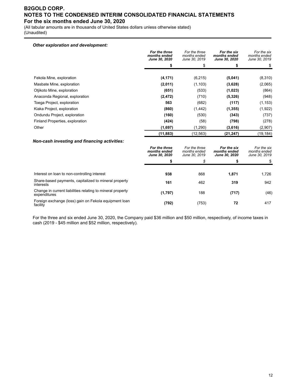(All tabular amounts are in thousands of United States dollars unless otherwise stated) (Unaudited)

### *Other exploration and development:*

|                                 | For the three<br>months ended<br><b>June 30, 2020</b> | For the three<br>months ended<br>June 30, 2019 | For the six<br>months ended<br><b>June 30, 2020</b> | For the six<br>months ended<br>June 30, 2019 |
|---------------------------------|-------------------------------------------------------|------------------------------------------------|-----------------------------------------------------|----------------------------------------------|
|                                 | \$                                                    | \$                                             | \$                                                  |                                              |
|                                 |                                                       |                                                |                                                     |                                              |
| Fekola Mine, exploration        | (4, 171)                                              | (6, 215)                                       | (5,041)                                             | (8,310)                                      |
| Masbate Mine, exploration       | (2,011)                                               | (1, 103)                                       | (3,628)                                             | (2,065)                                      |
| Otjikoto Mine, exploration      | (651)                                                 | (533)                                          | (1,023)                                             | (864)                                        |
| Anaconda Regional, exploration  | (2, 472)                                              | (710)                                          | (5,326)                                             | (948)                                        |
| Toega Project, exploration      | 563                                                   | (682)                                          | (117)                                               | (1, 153)                                     |
| Kiaka Project, exploration      | (860)                                                 | (1, 442)                                       | (1, 355)                                            | (1,922)                                      |
| Ondundu Project, exploration    | (160)                                                 | (530)                                          | (343)                                               | (737)                                        |
| Finland Properties, exploration | (424)                                                 | (58)                                           | (798)                                               | (278)                                        |
| Other                           | (1,697)                                               | (1,290)                                        | (3,616)                                             | (2,907)                                      |
|                                 | (11, 883)                                             | (12,563)                                       | (21, 247)                                           | (19, 184)                                    |

### *Non-cash investing and financing activities:*

|                                                                            | For the three<br>months ended<br>June 30, 2020 | For the three<br>months ended<br>June 30, 2019 | For the six<br>months ended<br>June 30, 2020 | For the six<br>months ended<br>June 30, 2019 |
|----------------------------------------------------------------------------|------------------------------------------------|------------------------------------------------|----------------------------------------------|----------------------------------------------|
|                                                                            |                                                | \$                                             | S                                            |                                              |
| Interest on loan to non-controlling interest                               | 938                                            | 868                                            | 1,871                                        | 1,726                                        |
| Share-based payments, capitalized to mineral property<br>interests         | 161                                            | 462                                            | 319                                          | 942                                          |
| Change in current liabilities relating to mineral property<br>expenditures | (1,797)                                        | 188                                            | (717)                                        | (46)                                         |
| Foreign exchange (loss) gain on Fekola equipment loan<br>facility          | (792)                                          | (753)                                          | 72                                           | 417                                          |

For the three and six ended June 30, 2020, the Company paid \$36 million and \$50 million, respectively, of income taxes in cash (2019 - \$45 million and \$52 million, respectively).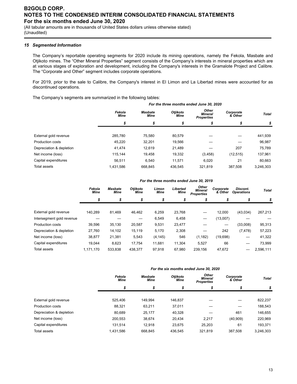(All tabular amounts are in thousands of United States dollars unless otherwise stated) (Unaudited)

### *15 Segmented Information*

The Company's reportable operating segments for 2020 include its mining operations, namely the Fekola, Masbate and Otjikoto mines. The "Other Mineral Properties" segment consists of the Company's interests in mineral properties which are at various stages of exploration and development, including the Company's interests in the Gramalote Project and Calibre. The "Corporate and Other" segment includes corporate operations.

For 2019, prior to the sale to Calibre, the Company's interest in El Limon and La Libertad mines were accounted for as discontinued operations.

The Company's segments are summarized in the following tables:

|                          | For the three months ended June 30, 2020 |                        |                         |                                       |                      |              |  |  |  |
|--------------------------|------------------------------------------|------------------------|-------------------------|---------------------------------------|----------------------|--------------|--|--|--|
|                          | Fekola<br><b>Mine</b>                    | <b>Masbate</b><br>Mine | Otiikoto<br><b>Mine</b> | Other<br>Mineral<br><b>Properties</b> | Corporate<br>& Other | <b>Total</b> |  |  |  |
|                          | \$                                       | \$                     | \$                      | \$                                    | \$                   | \$           |  |  |  |
|                          |                                          |                        |                         |                                       |                      |              |  |  |  |
| External gold revenue    | 285,780                                  | 75,580                 | 80,579                  |                                       |                      | 441,939      |  |  |  |
| <b>Production costs</b>  | 45,220                                   | 32,201                 | 19,566                  |                                       |                      | 96,987       |  |  |  |
| Depreciation & depletion | 41.474                                   | 12.619                 | 21,489                  |                                       | 207                  | 75,789       |  |  |  |
| Net income (loss)        | 115,144                                  | 19.458                 | 19,332                  | (3, 458)                              | (12, 515)            | 137,961      |  |  |  |
| Capital expenditures     | 56.511                                   | 6.540                  | 11.571                  | 6.020                                 | 21                   | 80.663       |  |  |  |
| <b>Total assets</b>      | 1,431,586                                | 668.845                | 436.545                 | 321,819                               | 387.508              | 3.246.303    |  |  |  |

#### *For the three months ended June 30, 2019*

|                           | Fekola<br><b>Mine</b> | <b>Masbate</b><br><b>Mine</b> | Otjikoto<br>Mine | Limon<br><b>Mine</b> | Libertad<br>Mine | Other<br><b>Mineral</b><br><b>Properties</b> | Corporate<br>& Other | Discont.<br><b>Operations</b> | <b>Total</b> |
|---------------------------|-----------------------|-------------------------------|------------------|----------------------|------------------|----------------------------------------------|----------------------|-------------------------------|--------------|
|                           | \$                    | \$                            | \$               | \$                   | \$               | \$                                           | \$                   | \$                            | \$           |
|                           |                       |                               |                  |                      |                  |                                              |                      |                               |              |
| External gold revenue     | 140.289               | 81.469                        | 46.462           | 6,259                | 23.768           | --                                           | 12.000               | (43,034)                      | 267,213      |
| Intersegment gold revenue |                       |                               |                  | 6,549                | 6,458            | -                                            | (13,007)             |                               |              |
| Production costs          | 39.596                | 35.130                        | 20,587           | 9,531                | 23,477           |                                              |                      | (33,008)                      | 95,313       |
| Depreciation & depletion  | 27,760                | 14,102                        | 15,119           | 5,170                | 2,308            |                                              | 242                  | (7, 478)                      | 57,223       |
| Net income (loss)         | 38.877                | 21,381                        | 5,543            | (4, 145)             | 546              | (1, 182)                                     | (19,698)             |                               | 41,322       |
| Capital expenditures      | 19.044                | 8,623                         | 17,754           | 11,681               | 11.304           | 5,527                                        | 66                   |                               | 73,999       |
| Total assets              | 1.171.170             | 533.838                       | 438.377          | 97.918               | 67.980           | 239.156                                      | 47.672               |                               | 2.596.111    |

#### *For the six months ended June 30, 2020*

|                          | Fekola<br><b>Mine</b> | Otjikoto<br><b>Masbate</b><br><b>Mine</b><br><b>Mine</b> |         | Other<br><b>Mineral</b><br><b>Properties</b> | Corporate<br>& Other | <b>Total</b> |  |
|--------------------------|-----------------------|----------------------------------------------------------|---------|----------------------------------------------|----------------------|--------------|--|
|                          | \$                    | \$                                                       | \$      | \$                                           | ъ                    | \$           |  |
|                          |                       |                                                          |         |                                              |                      |              |  |
| External gold revenue    | 525.406               | 149.994                                                  | 146.837 |                                              |                      | 822,237      |  |
| <b>Production costs</b>  | 88.321                | 63.211                                                   | 37,011  |                                              |                      | 188,543      |  |
| Depreciation & depletion | 80,689                | 25,177                                                   | 40,328  |                                              | 461                  | 146,655      |  |
| Net income (loss)        | 200,553               | 38,674                                                   | 20.434  | 2.217                                        | (40,909)             | 220,969      |  |
| Capital expenditures     | 131.514               | 12.918                                                   | 23,675  | 25,203                                       | 61                   | 193,371      |  |
| <b>Total assets</b>      | 1,431,586             | 668,845                                                  | 436.545 | 321,819                                      | 387.508              | 3,246,303    |  |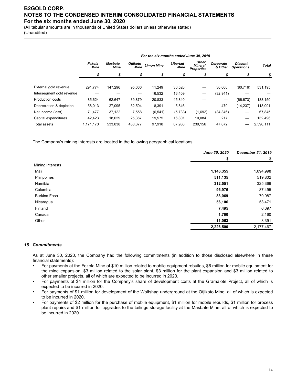(All tabular amounts are in thousands of United States dollars unless otherwise stated) (Unaudited)

| Fekola<br><b>Mine</b> | <b>Masbate</b><br>Mine | Otjikoto<br><b>Mine</b> | <b>Limon Mine</b> | Libertad<br>Mine | <b>Other</b><br><b>Mineral</b><br><b>Properties</b> | Corporate<br>& Other | Discont.<br><b>Operations</b> | <b>Total</b> |  |  |
|-----------------------|------------------------|-------------------------|-------------------|------------------|-----------------------------------------------------|----------------------|-------------------------------|--------------|--|--|
| \$                    | \$                     | \$                      | \$                | \$               | \$                                                  | \$                   | \$                            | \$           |  |  |
|                       |                        |                         |                   |                  |                                                     |                      |                               |              |  |  |
| 291,774               | 147,296                | 95.066                  | 11.249            | 36,526           | $\overline{\phantom{0}}$                            | 30,000               | (80, 716)                     | 531,195      |  |  |
|                       |                        |                         | 16,532            | 16,409           | $\overline{\phantom{0}}$                            | (32, 941)            |                               |              |  |  |
| 85,624                | 62,647                 | 39,879                  | 20,833            | 45,840           |                                                     | —                    | (66, 673)                     | 188,150      |  |  |
| 58,013                | 27,095                 | 32,504                  | 8,391             | 5,846            |                                                     | 479                  | (14, 237)                     | 118,091      |  |  |
| 71.477                | 37,122                 | 7.558                   | (6, 541)          | (5,733)          | (1,692)                                             | (34, 346)            |                               | 67.845       |  |  |
| 42.423                | 18.029                 | 25.367                  | 19,575            | 16.801           | 10.084                                              | 217                  | --                            | 132,496      |  |  |
| 1,171,170             | 533,838                | 438.377                 | 97,918            | 67.980           | 239.156                                             | 47,672               | --                            | 2,596,111    |  |  |
|                       |                        |                         |                   |                  |                                                     |                      |                               |              |  |  |

*For the six months ended June 30, 2019*

The Company's mining interests are located in the following geographical locations:

|                     | June 30, 2020 | December 31, 2019 |
|---------------------|---------------|-------------------|
|                     | \$            | \$                |
| Mining interests    |               |                   |
| Mali                | 1,146,355     | 1,094,998         |
| Philippines         | 511,135       | 519,802           |
| Namibia             | 312,551       | 325,366           |
| Colombia            | 96,976        | 87,495            |
| <b>Burkina Faso</b> | 83,069        | 79,087            |
| Nicaragua           | 56,106        | 53,471            |
| Finland             | 7,495         | 6,697             |
| Canada              | 1,760         | 2,160             |
| Other               | 11,053        | 8,391             |
|                     | 2,226,500     | 2,177,467         |

#### *16 Commitments*

As at June 30, 2020, the Company had the following commitments (in addition to those disclosed elsewhere in these financial statements):

- For payments at the Fekola Mine of \$10 million related to mobile equipment rebuilds, \$6 million for mobile equipment for the mine expansion, \$3 million related to the solar plant, \$3 million for the plant expansion and \$3 million related to other smaller projects, all of which are expected to be incurred in 2020.
- For payments of \$4 million for the Company's share of development costs at the Gramalote Project, all of which is expected to be incurred in 2020.
- For payments of \$1 million for development of the Wolfshag underground at the Otjikoto Mine, all of which is expected to be incurred in 2020.
- For payments of \$2 million for the purchase of mobile equipment, \$1 million for mobile rebuilds, \$1 million for process plant repairs and \$1 million for upgrades to the tailings storage facility at the Masbate Mine, all of which is expected to be incurred in 2020.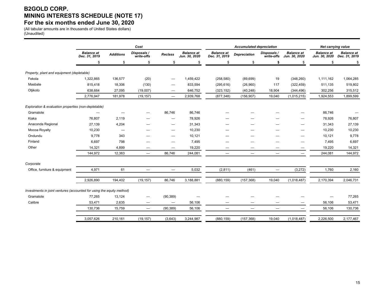# **B2GOLD CORP. MINING INTERESTS SCHEDULE (NOTE 17) For the six months ended June 30, 2020**

(All tabular amounts are in thousands of United States dollars) (Unaudited)

|                                                                       |                                    |                  |                                 | <b>Accumulated depreciation</b> | Net carrying value                 |                                    |                          |                           |                                    |                                    |                                    |
|-----------------------------------------------------------------------|------------------------------------|------------------|---------------------------------|---------------------------------|------------------------------------|------------------------------------|--------------------------|---------------------------|------------------------------------|------------------------------------|------------------------------------|
|                                                                       | <b>Balance at</b><br>Dec. 31, 2019 | <b>Additions</b> | Disposals /<br>write-offs       | <b>Reclass</b>                  | <b>Balance</b> at<br>Jun. 30, 2020 | <b>Balance</b> at<br>Dec. 31, 2019 | <b>Depreciation</b>      | Disposals /<br>write-offs | <b>Balance at</b><br>Jun. 30, 2020 | <b>Balance</b> at<br>Jun. 30, 2020 | <b>Balance at</b><br>Dec. 31, 2019 |
|                                                                       | \$                                 | \$               | \$                              | \$                              | \$                                 | \$                                 | \$                       | \$                        | \$                                 | \$                                 |                                    |
| Property, plant and equipment (depletable)                            |                                    |                  |                                 |                                 |                                    |                                    |                          |                           |                                    |                                    |                                    |
| Fekola                                                                | 1,322,865                          | 136,577          | (20)                            | $\hspace{0.1mm}-\hspace{0.1mm}$ | 1,459,422                          | (258, 580)                         | (89, 699)                | 19                        | (348, 260)                         | 1,111,162                          | 1,064,285                          |
| Masbate                                                               | 815,418                            | 18,306           | (130)                           |                                 | 833,594                            | (295, 616)                         | (26,960)                 | 117                       | (322, 459)                         | 511,135                            | 519,802                            |
| Otjikoto                                                              | 638,664                            | 27,095           | (19,007)                        |                                 | 646,752                            | (323, 152)                         | (40, 248)                | 18,904                    | (344, 496)                         | 302,256                            | 315,512                            |
|                                                                       | 2,776,947                          | 181,978          | (19, 157)                       | $\equiv$                        | 2,939,768                          | (877, 348)                         | (156, 907)               | 19,040                    | (1,015,215)                        | 1,924,553                          | 1,899,599                          |
| Exploration & evaluation properties (non-depletable)                  |                                    |                  |                                 |                                 |                                    |                                    |                          |                           |                                    |                                    |                                    |
| Gramalote                                                             |                                    | —                | -                               | 86,746                          | 86,746                             |                                    |                          |                           |                                    | 86,746                             |                                    |
| Kiaka                                                                 | 76,807                             | 2,119            |                                 | —                               | 78,926                             |                                    |                          |                           |                                    | 78,926                             | 76,807                             |
| Anaconda Regional                                                     | 27,139                             | 4,204            |                                 | $\overline{\phantom{0}}$        | 31,343                             |                                    |                          |                           | -                                  | 31,343                             | 27,139                             |
| Mocoa Royalty                                                         | 10,230                             | —                |                                 |                                 | 10,230                             |                                    |                          |                           |                                    | 10,230                             | 10,230                             |
| Ondundu                                                               | 9.778                              | 343              |                                 |                                 | 10,121                             |                                    |                          |                           | -                                  | 10,121                             | 9,778                              |
| Finland                                                               | 6,697                              | 798              |                                 | $\overline{\phantom{0}}$        | 7,495                              | —                                  |                          |                           | —                                  | 7,495                              | 6,697                              |
| Other                                                                 | 14,321                             | 4,899            | $\overline{\phantom{0}}$        |                                 | 19,220                             | —                                  |                          |                           | $\qquad \qquad \longleftarrow$     | 19,220                             | 14,321                             |
|                                                                       | 144,972                            | 12,363           | $\overline{\phantom{0}}$        | 86,746                          | 244,081                            | $\overline{\phantom{m}}$           | $\overline{\phantom{0}}$ | $\overline{\phantom{0}}$  | $\overbrace{\phantom{1232211}}$    | 244,081                            | 144,972                            |
| Corporate                                                             |                                    |                  |                                 |                                 |                                    |                                    |                          |                           |                                    |                                    |                                    |
| Office, furniture & equipment                                         | 4,971                              | 61               | $\qquad \qquad$                 |                                 | 5,032                              | (2,811)                            | (461)                    |                           | (3,272)                            | 1,760                              | 2,160                              |
|                                                                       | 2,926,890                          | 194,402          | (19, 157)                       | 86,746                          | 3,188,881                          | (880, 159)                         | (157, 368)               | 19,040                    | (1,018,487)                        | 2,170,394                          | 2,046,731                          |
| Investments in joint ventures (accounted for using the equity method) |                                    |                  |                                 |                                 |                                    |                                    |                          |                           |                                    |                                    |                                    |
| Gramalote                                                             | 77,265                             | 13,124           | $\hspace{0.1mm}-\hspace{0.1mm}$ | (90, 389)                       |                                    |                                    |                          |                           |                                    |                                    | 77,265                             |
| Calibre                                                               | 53,471                             | 2,635            | $\hspace{0.1mm}-\hspace{0.1mm}$ |                                 | 56,106                             |                                    | –                        | -                         | -                                  | 56,106                             | 53,471                             |
|                                                                       | 130,736                            | 15,759           | $\overline{\phantom{m}}$        | (90, 389)                       | 56,106                             |                                    | $\overline{\phantom{m}}$ |                           | $\qquad \qquad \longleftarrow$     | 56,106                             | 130,736                            |
|                                                                       | 3,057,626                          | 210,161          | (19, 157)                       | (3,643)                         | 3,244,987                          | (880, 159)                         | (157, 368)               | 19,040                    | (1,018,487)                        | 2,226,500                          | 2,177,467                          |